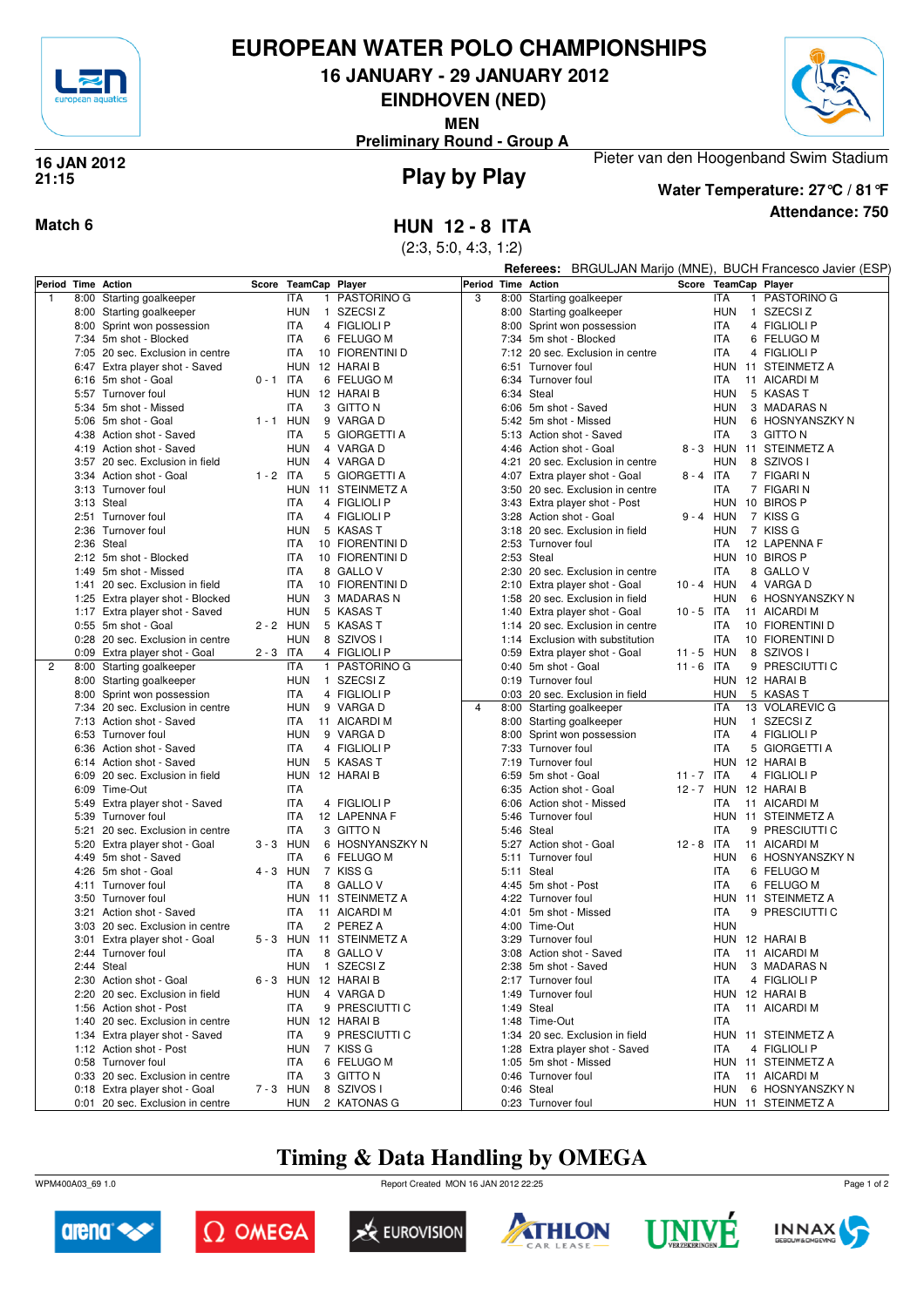

### **EUROPEAN WATER POLO CHAMPIONSHIPS**

**16 JANUARY - 29 JANUARY 2012**

**EINDHOVEN (NED)**

**MEN**

Pieter van den Hoogenband Swim Stadium **Preliminary Round - Group A**



#### **Play by Play 16 JAN 2012 21:15**



**Attendance: 750 Water Temperature: 27°C / 81°F**

**Match 6 HUN 12 - 8 ITA**

|   |      |                                  |             | (2:3, 5:0, 4:3, 1:2)<br>BRGULJAN Marijo (MNE), BUCH Francesco Javier (ESP)<br><b>Referees:</b> |                        |                    |      |                                  |              |             |                          |  |  |
|---|------|----------------------------------|-------------|------------------------------------------------------------------------------------------------|------------------------|--------------------|------|----------------------------------|--------------|-------------|--------------------------|--|--|
|   |      | Period Time Action               |             | Score TeamCap Player                                                                           |                        | Period Time Action |      |                                  |              |             | Score TeamCap Player     |  |  |
| 1 |      | 8:00 Starting goalkeeper         |             | <b>ITA</b>                                                                                     | 1 PASTORINO G          | 3                  |      | 8:00 Starting goalkeeper         |              | <b>ITA</b>  | PASTORINO G              |  |  |
|   |      | 8:00 Starting goalkeeper         |             | <b>HUN</b>                                                                                     | 1 SZECSIZ              |                    |      | 8:00 Starting goalkeeper         |              | <b>HUN</b>  | 1 SZECSIZ                |  |  |
|   |      | 8:00 Sprint won possession       |             | <b>ITA</b>                                                                                     | 4 FIGLIOLI P           |                    |      | 8:00 Sprint won possession       |              | <b>ITA</b>  | 4 FIGLIOLI P             |  |  |
|   |      | 7:34 5m shot - Blocked           |             | <b>ITA</b>                                                                                     | 6 FELUGO M             |                    |      | 7:34 5m shot - Blocked           |              | <b>ITA</b>  | 6 FELUGO M               |  |  |
|   |      | 7:05 20 sec. Exclusion in centre |             | <b>ITA</b>                                                                                     | 10 FIORENTINI D        |                    |      | 7:12 20 sec. Exclusion in centre |              | <b>ITA</b>  | 4 FIGLIOLI P             |  |  |
|   |      | 6:47 Extra player shot - Saved   |             | HUN 12 HARAI B                                                                                 |                        |                    |      | 6:51 Turnover foul               |              |             | HUN 11 STEINMETZ A       |  |  |
|   |      | 6:16 5m shot - Goal              | $0 - 1$ ITA |                                                                                                | 6 FELUGO M             |                    |      | 6:34 Turnover foul               |              | <b>ITA</b>  | 11 AICARDI M             |  |  |
|   |      | 5:57 Turnover foul               |             | HUN 12 HARAIB                                                                                  |                        |                    |      | 6:34 Steal                       |              | <b>HUN</b>  | 5 KASAS T                |  |  |
|   |      | 5:34 5m shot - Missed            |             | <b>ITA</b>                                                                                     | 3 GITTO N              |                    |      | 6:06 5m shot - Saved             |              | <b>HUN</b>  | 3 MADARAS N              |  |  |
|   |      | 5:06 5m shot - Goal              | $1 - 1$ HUN |                                                                                                | 9 VARGA D              |                    |      | 5:42 5m shot - Missed            |              | <b>HUN</b>  | 6 HOSNYANSZKY N          |  |  |
|   |      | 4:38 Action shot - Saved         |             | ITA                                                                                            | 5 GIORGETTI A          |                    |      | 5:13 Action shot - Saved         |              | <b>ITA</b>  | 3 GITTO N                |  |  |
|   |      | 4:19 Action shot - Saved         |             | <b>HUN</b>                                                                                     | 4 VARGA D              |                    |      | 4:46 Action shot - Goal          |              |             | 8 - 3 HUN 11 STEINMETZ A |  |  |
|   |      | 3:57 20 sec. Exclusion in field  |             | <b>HUN</b>                                                                                     | 4 VARGA D              |                    | 4:21 | 20 sec. Exclusion in centre      |              | <b>HUN</b>  | 8 SZIVOS I               |  |  |
|   |      | 3:34 Action shot - Goal          | $1 - 2$ ITA |                                                                                                | 5 GIORGETTI A          |                    |      | 4:07 Extra player shot - Goal    | $8 - 4$ ITA  |             | 7 FIGARI N               |  |  |
|   |      | 3:13 Turnover foul               |             |                                                                                                | HUN 11 STEINMETZ A     |                    |      | 3:50 20 sec. Exclusion in centre |              | <b>ITA</b>  | 7 FIGARI N               |  |  |
|   |      | 3:13 Steal                       |             | <b>ITA</b>                                                                                     | 4 FIGLIOLI P           |                    |      | 3:43 Extra player shot - Post    |              |             | HUN 10 BIROS P           |  |  |
|   |      | 2:51 Turnover foul               |             | ITA                                                                                            | 4 FIGLIOLI P           |                    |      | 3:28 Action shot - Goal          |              | $9 - 4$ HUN | 7 KISS G                 |  |  |
|   |      | 2:36 Turnover foul               |             | <b>HUN</b>                                                                                     | 5 KASAS T              |                    |      | 3:18 20 sec. Exclusion in field  |              | HUN         | 7 KISS G                 |  |  |
|   |      | 2:36 Steal                       |             | <b>ITA</b>                                                                                     | 10 FIORENTINI D        |                    |      | 2:53 Turnover foul               |              | <b>ITA</b>  | 12 LAPENNA F             |  |  |
|   |      | 2:12 5m shot - Blocked           |             | <b>ITA</b>                                                                                     | 10 FIORENTINI D        |                    |      | 2:53 Steal                       |              |             | HUN 10 BIROS P           |  |  |
|   |      | 1:49 5m shot - Missed            |             | <b>ITA</b>                                                                                     | 8 GALLOV               |                    |      | 2:30 20 sec. Exclusion in centre |              | <b>ITA</b>  | 8 GALLO V                |  |  |
|   | 1:41 | 20 sec. Exclusion in field       |             | <b>ITA</b>                                                                                     | 10 FIORENTINI D        |                    |      | 2:10 Extra player shot - Goal    | 10 - 4 HUN   |             | 4 VARGA D                |  |  |
|   |      | 1:25 Extra player shot - Blocked |             | <b>HUN</b>                                                                                     | 3 MADARAS N            |                    |      | 1:58 20 sec. Exclusion in field  |              | <b>HUN</b>  | 6 HOSNYANSZKY N          |  |  |
|   |      | 1:17 Extra player shot - Saved   |             | <b>HUN</b>                                                                                     | 5 KASAS T              |                    |      | 1:40 Extra player shot - Goal    | $10 - 5$ ITA |             | 11 AICARDI M             |  |  |
|   |      | 0:55 5m shot - Goal              | 2 - 2 HUN   |                                                                                                | 5 KASAS T              |                    |      | 1:14 20 sec. Exclusion in centre |              | ITA         | 10 FIORENTINI D          |  |  |
|   |      | 0:28 20 sec. Exclusion in centre |             | <b>HUN</b>                                                                                     | 8 SZIVOS I             |                    |      | 1:14 Exclusion with substitution |              | <b>ITA</b>  | 10 FIORENTINI D          |  |  |
|   |      | 0:09 Extra player shot - Goal    | $2 - 3$ ITA |                                                                                                | 4 FIGLIOLI P           |                    |      | 0:59 Extra player shot - Goal    | $11 - 5$ HUN |             | 8 SZIVOS I               |  |  |
| 2 |      | 8:00 Starting goalkeeper         |             | <b>ITA</b>                                                                                     | 1 PASTORINO G          |                    |      | 0:40 5m shot - Goal              | $11 - 6$ ITA |             | 9 PRESCIUTTI C           |  |  |
|   |      | 8:00 Starting goalkeeper         |             | <b>HUN</b>                                                                                     | 1 SZECSIZ              |                    |      | 0:19 Turnover foul               |              |             | HUN 12 HARAI B           |  |  |
|   |      | 8:00 Sprint won possession       |             | ITA                                                                                            | 4 FIGLIOLI P           |                    |      | 0:03 20 sec. Exclusion in field  |              | <b>HUN</b>  | 5 KASAS T                |  |  |
|   |      | 7:34 20 sec. Exclusion in centre |             | <b>HUN</b>                                                                                     | 9 VARGA D              | $\overline{4}$     |      | 8:00 Starting goalkeeper         |              | <b>ITA</b>  | 13 VOLAREVIC G           |  |  |
|   |      | 7:13 Action shot - Saved         |             | ITA                                                                                            | 11 AICARDI M           |                    |      | 8:00 Starting goalkeeper         |              | <b>HUN</b>  | 1 SZECSIZ                |  |  |
|   |      | 6:53 Turnover foul               |             | <b>HUN</b>                                                                                     | 9 VARGA D              |                    |      | 8:00 Sprint won possession       |              | <b>ITA</b>  | 4 FIGLIOLI P             |  |  |
|   |      | 6:36 Action shot - Saved         |             | <b>ITA</b>                                                                                     | 4 FIGLIOLI P           |                    |      | 7:33 Turnover foul               |              | <b>ITA</b>  | 5 GIORGETTI A            |  |  |
|   |      | 6:14 Action shot - Saved         |             | <b>HUN</b>                                                                                     | 5 KASAS T              |                    | 7:19 | Turnover foul                    |              | <b>HUN</b>  | 12 HARAI B               |  |  |
|   |      | 6:09 20 sec. Exclusion in field  |             | HUN 12 HARAI B                                                                                 |                        |                    |      | 6:59 5m shot - Goal              | 11 - 7 ITA   |             | 4 FIGLIOLI P             |  |  |
|   |      | 6:09 Time-Out                    |             | <b>ITA</b>                                                                                     |                        |                    |      | 6:35 Action shot - Goal          | 12 - 7 HUN   |             | 12 HARAI B               |  |  |
|   |      | 5:49 Extra player shot - Saved   |             | <b>ITA</b>                                                                                     | 4 FIGLIOLI P           |                    | 6:06 | Action shot - Missed             |              | <b>ITA</b>  | 11 AICARDI M             |  |  |
|   |      | 5:39 Turnover foul               |             | <b>ITA</b>                                                                                     | 12 LAPENNA F           |                    | 5:46 | Turnover foul                    |              | HUN         | 11 STEINMETZ A           |  |  |
|   |      | 5:21 20 sec. Exclusion in centre |             | <b>ITA</b>                                                                                     | 3 GITTO N              |                    |      | 5:46 Steal                       |              | <b>ITA</b>  | 9 PRESCIUTTI C           |  |  |
|   |      | 5:20 Extra player shot - Goal    | $3 - 3$ HUN |                                                                                                | 6 HOSNYANSZKY N        |                    |      | 5:27 Action shot - Goal          | $12 - 8$ ITA |             | 11 AICARDI M             |  |  |
|   |      | 4:49 5m shot - Saved             |             | <b>ITA</b>                                                                                     | 6 FELUGO M             |                    | 5:11 | Turnover foul                    |              | <b>HUN</b>  | 6 HOSNYANSZKY N          |  |  |
|   |      | 4:26 5m shot - Goal              | 4 - 3 HUN   |                                                                                                | 7 KISS G               |                    |      | 5:11 Steal                       |              | <b>ITA</b>  | 6 FELUGO M               |  |  |
|   |      | 4:11 Turnover foul               |             | <b>ITA</b>                                                                                     | 8 GALLO V              |                    |      | 4:45 5m shot - Post              |              | <b>ITA</b>  | 6 FELUGO M               |  |  |
|   |      | 3:50 Turnover foul               |             |                                                                                                | HUN 11 STEINMETZ A     |                    |      | 4:22 Turnover foul               |              | HUN         | 11 STEINMETZ A           |  |  |
|   | 3:21 | Action shot - Saved              |             | ITA                                                                                            | 11 AICARDI M           |                    |      | 4:01 5m shot - Missed            |              | ITA         | 9 PRESCIUTTI C           |  |  |
|   |      | 3:03 20 sec. Exclusion in centre |             | <b>ITA</b>                                                                                     | 2 PEREZ A              |                    |      | 4:00 Time-Out                    |              | HUN         |                          |  |  |
|   |      | 3:01 Extra player shot - Goal    |             |                                                                                                | 5-3 HUN 11 STEINMETZ A |                    |      | 3:29 Turnover foul               |              |             | HUN 12 HARAI B           |  |  |
|   |      | 2:44 Turnover foul               |             | ITA                                                                                            | 8 GALLO V              |                    |      | 3:08 Action shot - Saved         |              |             | ITA 11 AICARDI M         |  |  |
|   |      | 2:44 Steal                       |             | <b>HUN</b>                                                                                     | 1 SZECSI Z             |                    |      | 2:38 5m shot - Saved             |              | <b>HUN</b>  | 3 MADARAS N              |  |  |
|   |      | 2:30 Action shot - Goal          |             | 6-3 HUN 12 HARAIB                                                                              |                        |                    |      | 2:17 Turnover foul               |              | <b>ITA</b>  | 4 FIGLIOLI P             |  |  |
|   |      | 2:20 20 sec. Exclusion in field  |             | <b>HUN</b>                                                                                     | 4 VARGA D              |                    |      | 1:49 Turnover foul               |              |             | HUN 12 HARAIB            |  |  |
|   |      | 1:56 Action shot - Post          |             | ITA                                                                                            | 9 PRESCIUTTI C         |                    |      | 1:49 Steal                       |              | ITA         | 11 AICARDI M             |  |  |
|   |      | 1:40 20 sec. Exclusion in centre |             | HUN 12 HARAI B                                                                                 |                        |                    |      | 1:48 Time-Out                    |              | <b>ITA</b>  |                          |  |  |
|   |      | 1:34 Extra player shot - Saved   |             | <b>ITA</b>                                                                                     | 9 PRESCIUTTI C         |                    |      | 1:34 20 sec. Exclusion in field  |              |             | HUN 11 STEINMETZ A       |  |  |
|   |      | 1:12 Action shot - Post          |             | <b>HUN</b>                                                                                     | 7 KISS G               |                    |      | 1:28 Extra player shot - Saved   |              | <b>ITA</b>  | 4 FIGLIOLI P             |  |  |
|   |      | 0:58 Turnover foul               |             | <b>ITA</b>                                                                                     | 6 FELUGO M             |                    |      | 1:05 5m shot - Missed            |              |             | HUN 11 STEINMETZ A       |  |  |
|   |      | 0:33 20 sec. Exclusion in centre |             | <b>ITA</b>                                                                                     | 3 GITTO N              |                    |      | 0:46 Turnover foul               |              | ITA         | 11 AICARDI M             |  |  |
|   |      | 0:18 Extra player shot - Goal    | 7-3 HUN     |                                                                                                | 8 SZIVOS I             |                    |      | 0:46 Steal                       |              | <b>HUN</b>  | 6 HOSNYANSZKY N          |  |  |
|   |      | 0:01 20 sec. Exclusion in centre |             | HUN                                                                                            | 2 KATONAS G            |                    |      | 0:23 Turnover foul               |              |             | HUN 11 STEINMETZ A       |  |  |

# **Timing & Data Handling by OMEGA**

WPM400A03\_69 1.0 Report Created MON 16 JAN 2012 22:25













Page 1 of 2